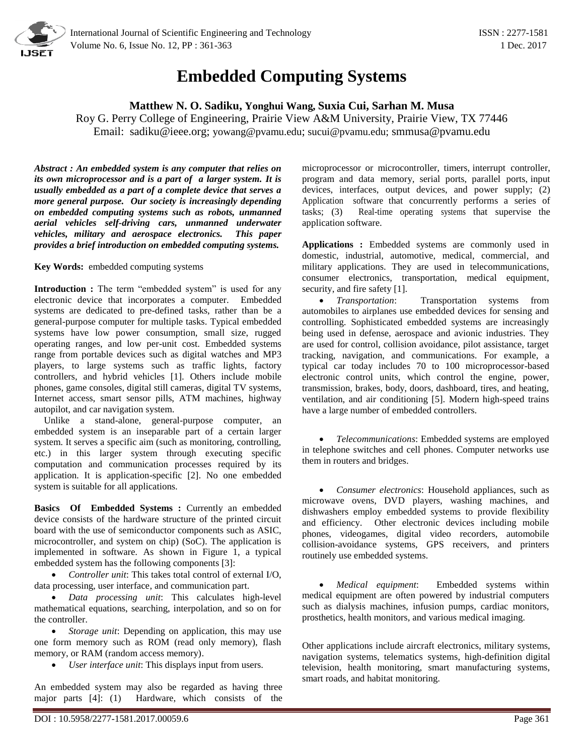

## **Embedded Computing Systems**

## **Matthew N. O. Sadiku, Yonghui Wang, Suxia Cui, Sarhan M. Musa**

Roy G. Perry College of Engineering, Prairie View A&M University, Prairie View, TX 77446 Email: [sadiku@ieee.org;](mailto:sadiku@ieee.org) [yowang@pvamu.edu](mailto:yowang@pvamu.edu); [sucui@pvamu.edu;](mailto:sucui@pvamu.edu) smmusa@pvamu.edu

*Abstract : An embedded system is any computer that relies on its own microprocessor and is a part of a larger system. It is usually embedded as a part of a complete device that serves a more general purpose. Our society is increasingly depending on embedded computing systems such as robots, unmanned aerial vehicles self-driving cars, unmanned underwater vehicles, military and aerospace electronics. This paper provides a brief introduction on embedded computing systems.*

**Key Words:** embedded computing systems

**Introduction :** The term "embedded system" is used for any electronic device that incorporates a computer. Embedded systems are dedicated to pre-defined tasks, rather than be a general-purpose computer for multiple tasks. Typical embedded systems have low power consumption, small size, rugged operating ranges, and low per-unit cost. Embedded systems range from portable devices such as [digital watches](https://en.wikipedia.org/wiki/Digital_watch) and [MP3](https://en.wikipedia.org/wiki/Digital_audio_player)  [players,](https://en.wikipedia.org/wiki/Digital_audio_player) to large systems such as [traffic lights,](https://en.wikipedia.org/wiki/Traffic_light) [factory](https://en.wikipedia.org/wiki/Programmable_logic_controller)  [controllers,](https://en.wikipedia.org/wiki/Programmable_logic_controller) and [hybrid vehicles](https://en.wikipedia.org/wiki/Hybrid_vehicles) [1]. Others include mobile phones, game consoles, digital still cameras, digital TV systems, Internet access, smart sensor pills, ATM machines, highway autopilot, and car navigation system.

 Unlike a stand-alone, general-purpose computer, an embedded system is an inseparable part of a certain larger system. It serves a specific aim (such as monitoring, controlling, etc.) in this larger system through executing specific computation and communication processes required by its application. It is application-specific [2]. No one embedded system is suitable for all applications.

**Basics Of Embedded Systems :** Currently an embedded device consists of the hardware structure of the printed circuit board with the use of semiconductor components such as ASIC, microcontroller, and system on chip) (SoC). The application is implemented in software. As shown in Figure 1, a typical embedded system has the following components [3]:

 *Controller unit*: This takes total control of external I/O, data processing, user interface, and communication part.

 *Data processing unit*: This calculates high-level mathematical equations, searching, interpolation, and so on for the controller.

 *Storage unit*: Depending on application, this may use one form memory such as ROM (read only memory), flash memory, or RAM (random access memory).

*User interface unit*: This displays input from users.

An embedded system may also be regarded as having three major parts [4]: (1) Hardware, which consists of the microprocessor or microcontroller, timers, interrupt controller, program and data memory, serial ports, parallel ports, input devices, interfaces, output devices, and power supply; (2) Application software that concurrently performs a series of tasks; (3) Real-time operating systems that supervise the application software.

**Applications :** Embedded systems are commonly used in domestic, industrial, automotive, medical, commercial, and military applications. They are used in telecommunications, consumer electronics, transportation, medical equipment, security, and fire safety [1].

 *Transportation*: Transportation systems from automobiles to airplanes use embedded devices for sensing and controlling. Sophisticated embedded systems are increasingly being used in defense, aerospace and avionic industries. They are used for control, collision avoidance, pilot assistance, target tracking, navigation, and communications. For example, a typical car today includes 70 to 100 microprocessor-based electronic control units, which control the engine, power, transmission, brakes, body, doors, dashboard, tires, and heating, ventilation, and air conditioning [5]. Modern high-speed trains have a large number of embedded controllers.

 *Telecommunications*: Embedded systems are employed in telephone switches and cell phones. Computer networks use them in routers and bridges.

 *[Consumer electronics](https://en.wikipedia.org/wiki/Consumer_electronics)*: Household appliances, such as [microwave ovens,](https://en.wikipedia.org/wiki/Microwave_oven) DVD players, [washing machines,](https://en.wikipedia.org/wiki/Washing_machine) and [dishwashers](https://en.wikipedia.org/wiki/Dishwashers) employ embedded systems to provide flexibility and efficiency. Other electronic devices including mobile phones, [videogames,](https://en.wikipedia.org/wiki/Videogame_console) [digital video recorders, automobile](https://en.wikipedia.org/wiki/Digital_camera)  [collision-avoidance systems,](https://en.wikipedia.org/wiki/Digital_camera) [GPS](https://en.wikipedia.org/wiki/Global_Positioning_System) receivers, and [printers](https://en.wikipedia.org/wiki/Computer_printer) routinely use embedded systems.

 *[Medical equipment](https://en.wikipedia.org/wiki/Medical_equipment)*: Embedded systems within medical equipment are often powered by industrial computers such as dialysis machines, infusion pumps, cardiac monitors, prosthetics, health monitors, and various medical imaging.

Other applications include aircraft electronics, military systems, navigation systems, telematics systems, high-definition digital television, health monitoring, smart manufacturing systems, smart roads, and habitat monitoring.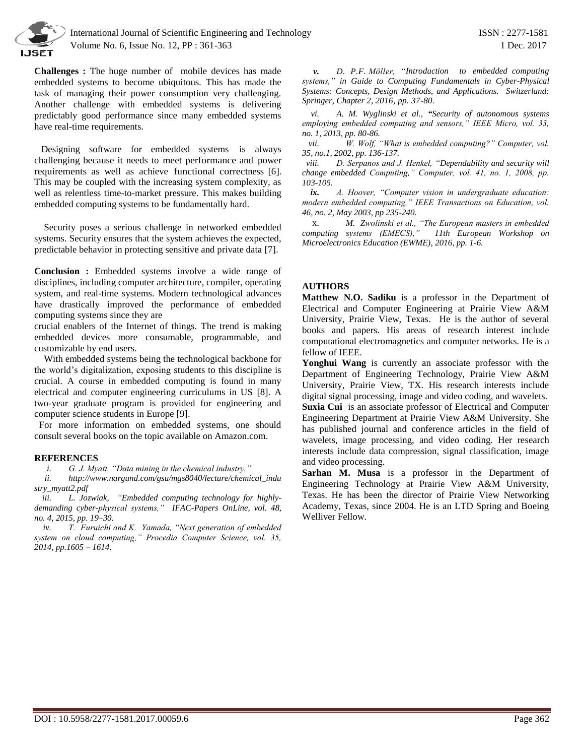

**Challenges :** The huge number of mobile devices has made embedded systems to become ubiquitous. This has made the task of managing their power consumption very challenging. Another challenge with embedded systems is delivering predictably good performance since many embedded systems have real-time requirements.

 Designing software for embedded systems is always challenging because it needs to meet performance and power requirements as well as achieve functional correctness [6]. This may be coupled with the increasing system complexity, as well as relentless time-to-market pressure. This makes building embedded computing systems to be fundamentally hard.

 Security poses a serious challenge in networked embedded systems. Security ensures that the system achieves the expected, predictable behavior in protecting sensitive and private data [7].

**Conclusion :** Embedded systems involve a wide range of disciplines, including computer architecture, compiler, operating system, and real-time systems. Modern technological advances have drastically improved the performance of embedded computing systems since they are

crucial enablers of the Internet of things. The trend is making embedded devices more consumable, programmable, and customizable by end users.

 With embedded systems being the technological backbone for the world's digitalization, exposing students to this discipline is crucial. A course in embedded computing is found in many electrical and computer engineering curriculums in US [8]. A two-year graduate program is provided for engineering and computer science students in Europe [9].

 For more information on embedded systems, one should consult several books on the topic available on Amazon.com.

## **REFERENCES**

*i. G. J. Myatt, "Data mining in the chemical industry,"*

*ii. http://www.nargund.com/gsu/mgs8040/lecture/chemical\_indu stry\_myatt2.pdf*

*iii. L. Jozwiak, "Embedded computing technology for highlydemanding cyber-physical systems," IFAC-Papers OnLine, vol. 48, no. 4, 2015, pp. 19–30.*

*iv. T. Furuichi and K. Yamada, "Next generation of embedded system on cloud computing," Procedia Computer Science, vol. 35, 2014, pp.1605 – 1614.*

*v. D. P.F. Möller, "Introduction to embedded computing systems," in Guide to Computing Fundamentals in Cyber-Physical Systems: Concepts, Design Methods, and Applications. Switzerland: Springer, Chapter 2, 2016, pp. 37-80.*

*vi. A. M. Wyglinski et al., "Security of autonomous systems employing embedded computing and sensors," IEEE Micro, vol. 33, no. 1, 2013, pp. 80-86.*

*vii. W. Wolf, "What is embedded computing?" Computer, vol. 35, no.1, 2002, pp. 136-137.*

*viii. D. Serpanos and J. Henkel, "Dependability and security will change embedded Computing," Computer, vol. 41, no. 1, 2008, pp. 103-105.*

*ix. A. Hoover, "Computer vision in undergraduate education: modern embedded computing," IEEE Transactions on Education, vol. 46, no. 2, May 2003, pp 235-240.*

x. *M. Zwolinski et al., "The European masters in embedded computing systems (EMECS),[" 11th European](http://ieeexplore.ieee.org/xpl/mostRecentIssue.jsp?punumber=7492696) Workshop on [Microelectronics Education \(EWME\),](http://ieeexplore.ieee.org/xpl/mostRecentIssue.jsp?punumber=7492696) 2016, pp. 1-6.*

## **AUTHORS**

**Matthew N.O. Sadiku** is a professor in the Department of Electrical and Computer Engineering at Prairie View A&M University, Prairie View, Texas. He is the author of several books and papers. His areas of research interest include computational electromagnetics and computer networks. He is a fellow of IEEE.

**Yonghui Wang** is currently an associate professor with the Department of Engineering Technology, Prairie View A&M University, Prairie View, TX. His research interests include digital signal processing, image and video coding, and wavelets. **Suxia Cui** is an associate professor of Electrical and Computer Engineering Department at Prairie View A&M University. She has published journal and conference articles in the field of wavelets, image processing, and video coding. Her research interests include data compression, signal classification, image and video processing.

**Sarhan M. Musa** is a professor in the Department of Engineering Technology at Prairie View A&M University, Texas. He has been the director of Prairie View Networking Academy, Texas, since 2004. He is an LTD Spring and Boeing Welliver Fellow.